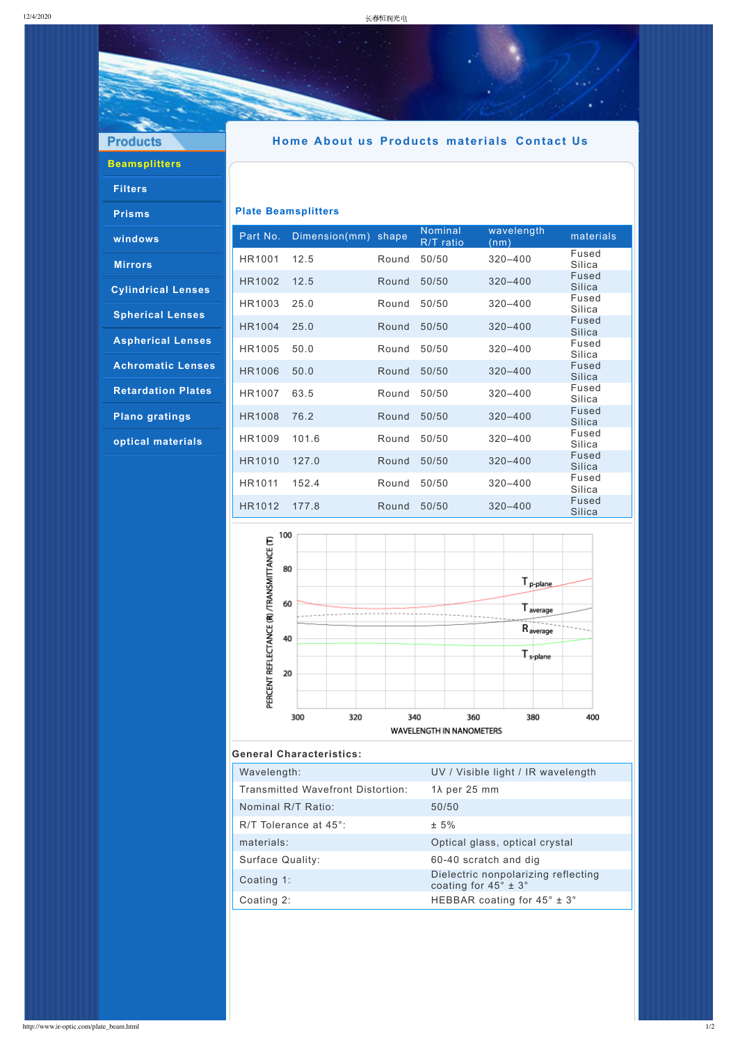**Products** 

# **[Beamsplitters](http://www.ir-optic.com/beamsplitters.html)**

### **[Filters](http://www.ir-optic.com/filters.html)**

**[Prisms](http://www.ir-optic.com/prisms.html)**

**[windows](http://www.ir-optic.com/windows.html)**

**[Mirrors](http://www.ir-optic.com/mirrors.html)**

**[Cylindrical](http://www.ir-optic.com/cylindrical_Lenses.html) Lenses**

**[Spherical](http://www.ir-optic.com/spherical_lenses.html) Lenses**

**[Aspherical](http://www.ir-optic.com/asphericallenses.html) Lenses**

**[Achromatic](http://www.ir-optic.com/achro_lenses.html) Lenses**

**[Retardation](http://www.ir-optic.com/rp.html) Plates**

**Plano [gratings](http://www.ir-optic.com/planogratings.html)**

**optical [materials](http://www.ir-optic.com/opml.html)**

## **[Home](http://www.ir-optic.com/index.html) [About](http://www.ir-optic.com/index_eng.html) us [Products](http://www.ir-optic.com/beamsplitters.html) [materials](http://www.ir-optic.com/opml.html) [Contact](http://www.ir-optic.com/contact.html) Us**

### **Plate Beamsplitters**

| Part No.      | Dimension(mm) shape |       | Nominal<br>R/T ratio | wavelength<br>(nm) | materials                     |
|---------------|---------------------|-------|----------------------|--------------------|-------------------------------|
| <b>HR1001</b> | 12.5                | Round | 50/50                | $320 - 400$        | Fused<br>Silica               |
| <b>HR1002</b> | 12.5                | Round | 50/50                | $320 - 400$        | <b>Fused</b><br><b>Silica</b> |
| HR1003        | 25.0                | Round | 50/50                | $320 - 400$        | Fused<br>Silica               |
| <b>HR1004</b> | 25.0                | Round | 50/50                | $320 - 400$        | <b>Fused</b><br><b>Silica</b> |
| <b>HR1005</b> | 50.0                | Round | 50/50                | $320 - 400$        | Fused<br>Silica               |
| <b>HR1006</b> | 50.0                | Round | 50/50                | $320 - 400$        | <b>Fused</b><br><b>Silica</b> |
| <b>HR1007</b> | 63.5                | Round | 50/50                | $320 - 400$        | Fused<br>Silica               |
| <b>HR1008</b> | 76.2                | Round | 50/50                | $320 - 400$        | <b>Fused</b><br><b>Silica</b> |
| HR1009        | 101.6               | Round | 50/50                | $320 - 400$        | Fused<br>Silica               |
| <b>HR1010</b> | 127.0               | Round | 50/50                | $320 - 400$        | <b>Fused</b><br><b>Silica</b> |
| HR1011        | 152.4               | Round | 50/50                | $320 - 400$        | Fused<br>Silica               |
| HR1012        | 177.8               | Round | 50/50                | $320 - 400$        | <b>Fused</b><br><b>Silica</b> |



#### **General Characteristics:**

| Wavelength:                       | UV / Visible light / IR wavelength |  |  |
|-----------------------------------|------------------------------------|--|--|
| Transmitted Wavefront Distortion: | $1\lambda$ per 25 mm               |  |  |

| TIANSIIIILLEU WAVENUNL DISLUITIUN. | $1/\sqrt{2}$ $\sqrt{2}$ $\sqrt{2}$ $\sqrt{2}$ $\sqrt{2}$                  |
|------------------------------------|---------------------------------------------------------------------------|
| Nominal R/T Ratio:                 | 50/50                                                                     |
| R/T Tolerance at 45°:              | $± 5\%$                                                                   |
| materials:                         | Optical glass, optical crystal                                            |
| Surface Quality:                   | 60-40 scratch and dig                                                     |
| Coating 1:                         | Dielectric nonpolarizing reflecting<br>coating for $45^\circ \pm 3^\circ$ |
| Coating 2:                         | HEBBAR coating for $45^\circ \pm 3^\circ$                                 |